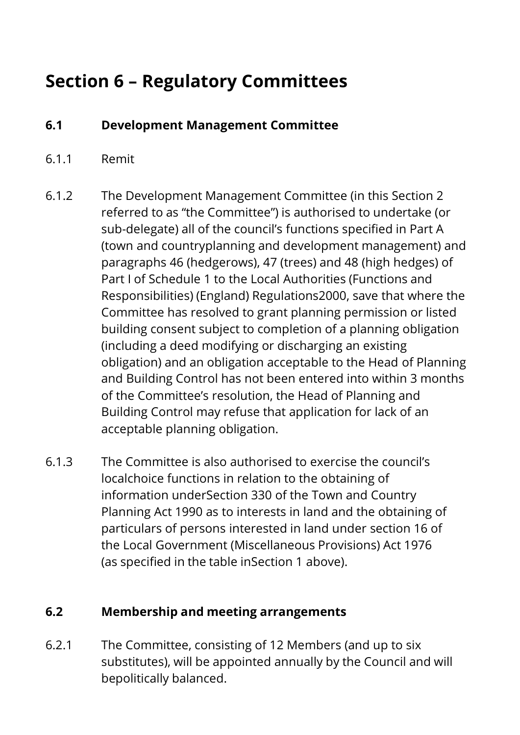# **Section 6 – Regulatory Committees**

## **6.1 Development Management Committee**

### 6.1.1 Remit

- 6.1.2 The Development Management Committee (in this Section 2 referred to as "the Committee") is authorised to undertake (or sub-delegate) all of the council's functions specified in Part A (town and countryplanning and development management) and paragraphs 46 (hedgerows), 47 (trees) and 48 (high hedges) of Part I of Schedule 1 to the Local Authorities (Functions and Responsibilities) (England) Regulations2000, save that where the Committee has resolved to grant planning permission or listed building consent subject to completion of a planning obligation (including a deed modifying or discharging an existing obligation) and an obligation acceptable to the Head of Planning and Building Control has not been entered into within 3 months of the Committee's resolution, the Head of Planning and Building Control may refuse that application for lack of an acceptable planning obligation.
- 6.1.3 The Committee is also authorised to exercise the council's localchoice functions in relation to the obtaining of information underSection 330 of the Town and Country Planning Act 1990 as to interests in land and the obtaining of particulars of persons interested in land under section 16 of the Local Government (Miscellaneous Provisions) Act 1976 (as specified in the table inSection 1 above).

### **6.2 Membership and meeting arrangements**

6.2.1 The Committee, consisting of 12 Members (and up to six substitutes), will be appointed annually by the Council and will bepolitically balanced.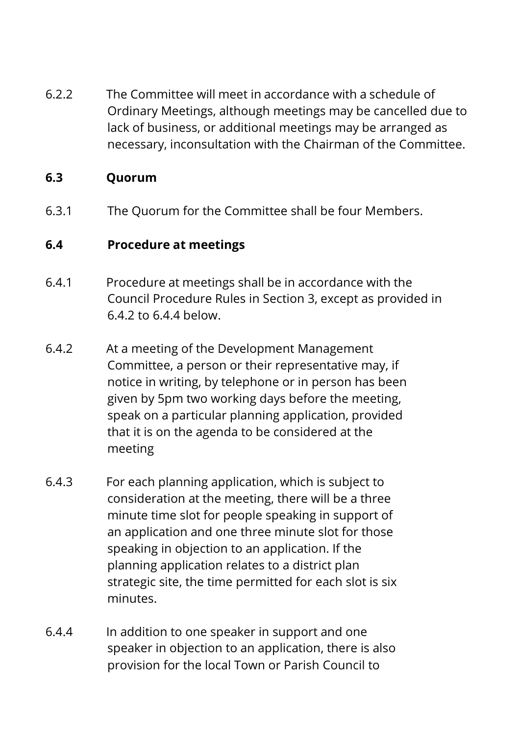6.2.2 The Committee will meet in accordance with a schedule of Ordinary Meetings, although meetings may be cancelled due to lack of business, or additional meetings may be arranged as necessary, inconsultation with the Chairman of the Committee.

### **6.3 Quorum**

6.3.1 The Quorum for the Committee shall be four Members.

## **6.4 Procedure at meetings**

- 6.4.1 Procedure at meetings shall be in accordance with the Council Procedure Rules in Section 3, except as provided in 6.4.2 to 6.4.4 below.
- 6.4.2 At a meeting of the Development Management Committee, a person or their representative may, if notice in writing, by telephone or in person has been given by 5pm two working days before the meeting, speak on a particular planning application, provided that it is on the agenda to be considered at the meeting
- 6.4.3 For each planning application, which is subject to consideration at the meeting, there will be a three minute time slot for people speaking in support of an application and one three minute slot for those speaking in objection to an application. If the planning application relates to a district plan strategic site, the time permitted for each slot is six minutes.
- 6.4.4 In addition to one speaker in support and one speaker in objection to an application, there is also provision for the local Town or Parish Council to